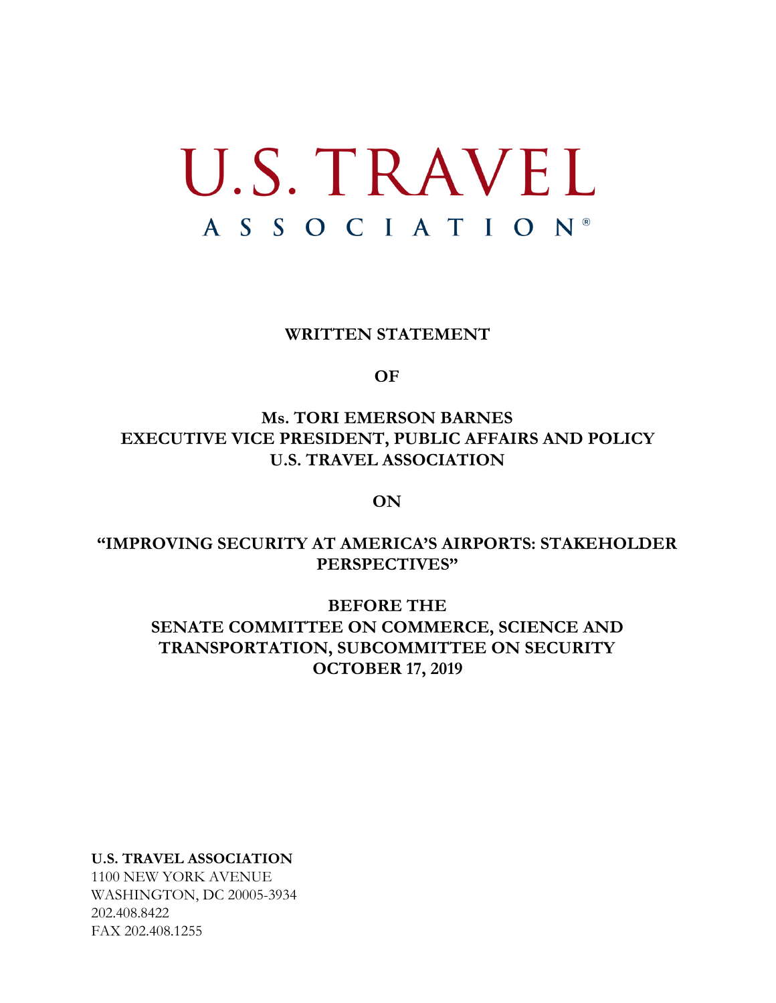## U.S. TRAVEL A S S O C I A T I O N ®

**WRITTEN STATEMENT**

**OF**

## **Ms. TORI EMERSON BARNES EXECUTIVE VICE PRESIDENT, PUBLIC AFFAIRS AND POLICY U.S. TRAVEL ASSOCIATION**

**ON**

## **"IMPROVING SECURITY AT AMERICA'S AIRPORTS: STAKEHOLDER PERSPECTIVES"**

## **BEFORE THE SENATE COMMITTEE ON COMMERCE, SCIENCE AND TRANSPORTATION, SUBCOMMITTEE ON SECURITY OCTOBER 17, 2019**

**U.S. TRAVEL ASSOCIATION**

1100 NEW YORK AVENUE WASHINGTON, DC 20005-3934 202.408.8422 FAX 202.408.1255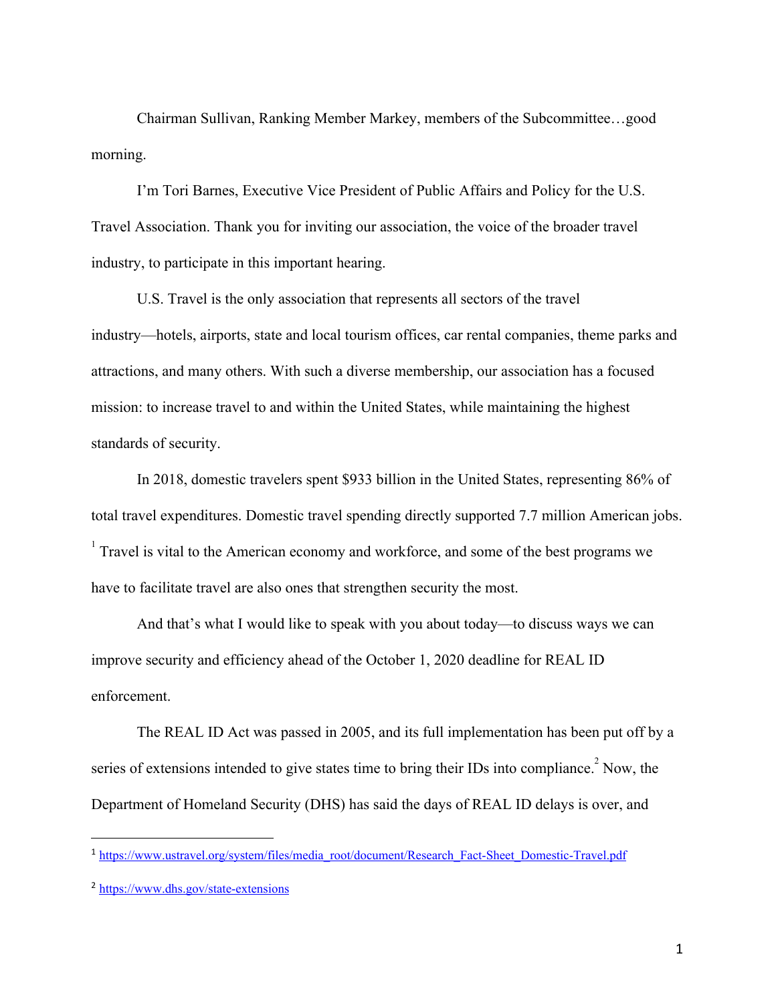Chairman Sullivan, Ranking Member Markey, members of the Subcommittee…good morning.

I'm Tori Barnes, Executive Vice President of Public Affairs and Policy for the U.S. Travel Association. Thank you for inviting our association, the voice of the broader travel industry, to participate in this important hearing.

U.S. Travel is the only association that represents all sectors of the travel industry—hotels, airports, state and local tourism offices, car rental companies, theme parks and attractions, and many others. With such a diverse membership, our association has a focused mission: to increase travel to and within the United States, while maintaining the highest standards of security.

In 2018, domestic travelers spent \$933 billion in the United States, representing 86% of total travel expenditures. Domestic travel spending directly supported 7.7 million American jobs.  $\frac{1}{1}$  Travel is vital to the American economy and workforce, and some of the best programs we have to facilitate travel are also ones that strengthen security the most.

And that's what I would like to speak with you about today—to discuss ways we can improve security and efficiency ahead of the October 1, 2020 deadline for REAL ID enforcement.

The REAL ID Act was passed in 2005, and its full implementation has been put off by a series of extensions intended to give states time to bring their IDs into compliance.<sup>2</sup> Now, the Department of Homeland Security (DHS) has said the days of REAL ID delays is over, and

<sup>&</sup>lt;sup>1</sup> [https://www.ustravel.org/system/files/media\\_root/document/Research\\_Fact-Sheet\\_Domestic-Travel.pdf](https://www.ustravel.org/system/files/media_root/document/Research_Fact-Sheet_Domestic-Travel.pdf)

<sup>2</sup> <https://www.dhs.gov/state-extensions>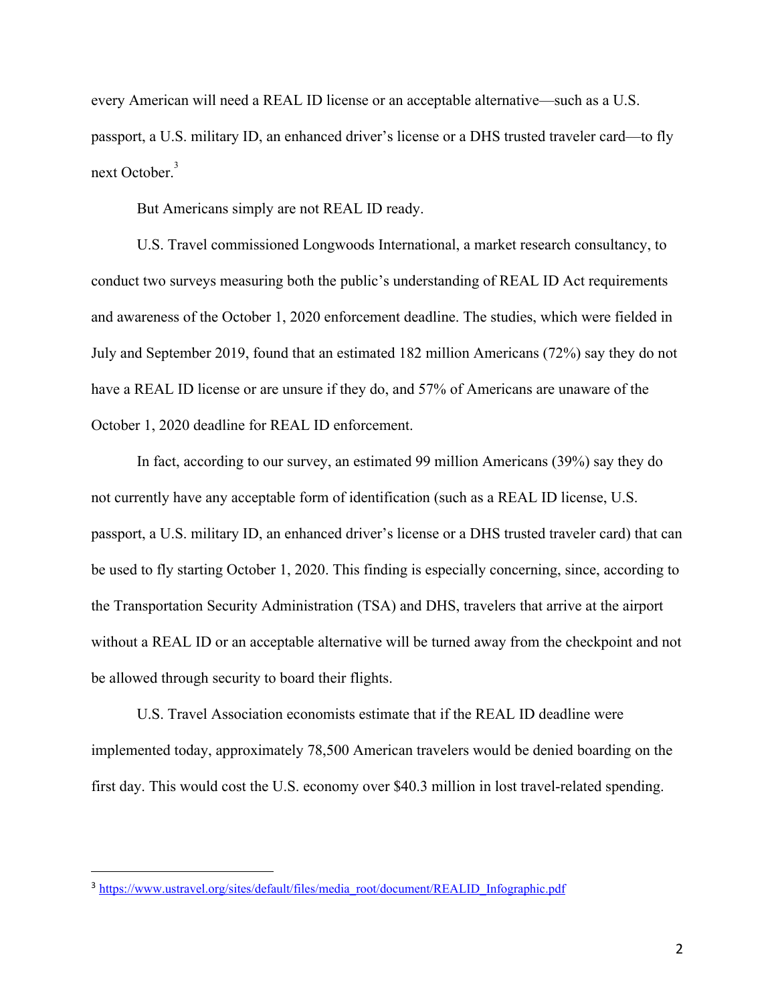every American will need a REAL ID license or an acceptable alternative—such as a U.S. passport, a U.S. military ID, an enhanced driver's license or a DHS trusted traveler card—to fly next October.<sup>3</sup>

But Americans simply are not REAL ID ready.

U.S. Travel commissioned Longwoods International, a market research consultancy, to conduct two surveys measuring both the public's understanding of REAL ID Act requirements and awareness of the October 1, 2020 enforcement deadline. The studies, which were fielded in July and September 2019, found that an estimated 182 million Americans (72%) say they do not have a REAL ID license or are unsure if they do, and 57% of Americans are unaware of the October 1, 2020 deadline for REAL ID enforcement.

In fact, according to our survey, an estimated 99 million Americans (39%) say they do not currently have any acceptable form of identification (such as a REAL ID license, U.S. passport, a U.S. military ID, an enhanced driver's license or a DHS trusted traveler card) that can be used to fly starting October 1, 2020. This finding is especially concerning, since, according to the Transportation Security Administration (TSA) and DHS, travelers that arrive at the airport without a REAL ID or an acceptable alternative will be turned away from the checkpoint and not be allowed through security to board their flights.

U.S. Travel Association economists estimate that if the REAL ID deadline were implemented today, approximately 78,500 American travelers would be denied boarding on the first day. This would cost the U.S. economy over \$40.3 million in lost travel-related spending.

<sup>&</sup>lt;sup>3</sup> [https://www.ustravel.org/sites/default/files/media\\_root/document/REALID\\_Infographic.pdf](https://www.ustravel.org/sites/default/files/media_root/document/REALID_Infographic.pdf)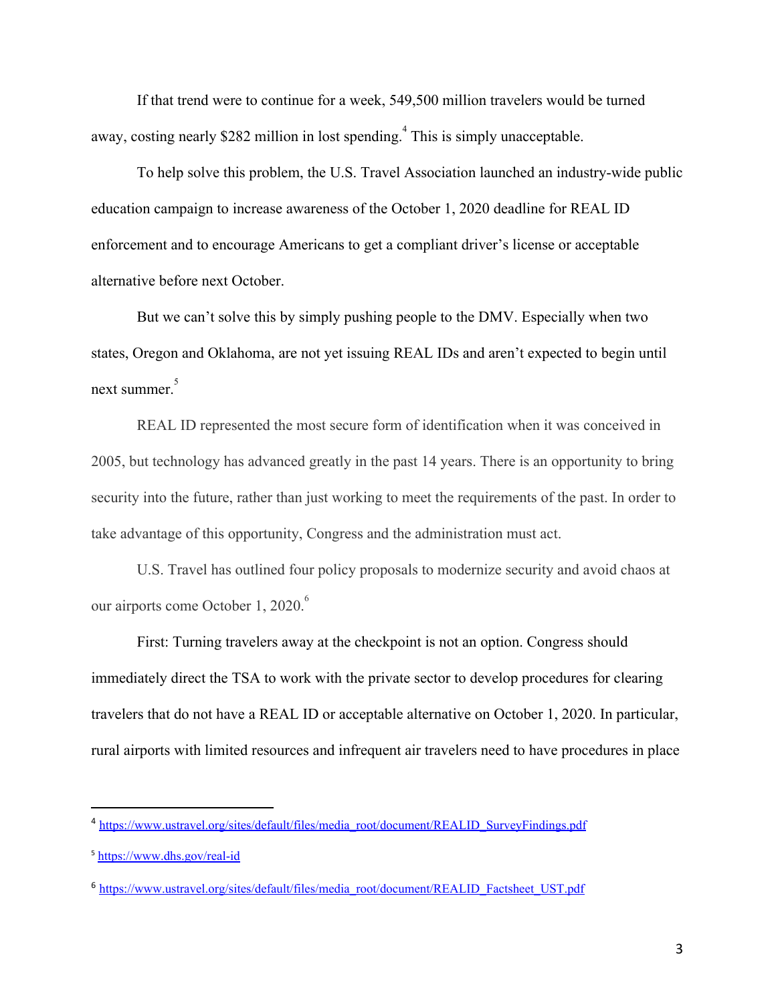If that trend were to continue for a week, 549,500 million travelers would be turned away, costing nearly \$282 million in lost spending.<sup>4</sup> This is simply unacceptable.

To help solve this problem, the U.S. Travel Association launched an industry-wide public education campaign to increase awareness of the October 1, 2020 deadline for REAL ID enforcement and to encourage Americans to get a compliant driver's license or acceptable alternative before next October.

But we can't solve this by simply pushing people to the DMV. Especially when two states, Oregon and Oklahoma, are not yet issuing REAL IDs and aren't expected to begin until next summer. 5

REAL ID represented the most secure form of identification when it was conceived in 2005, but technology has advanced greatly in the past 14 years. There is an opportunity to bring security into the future, rather than just working to meet the requirements of the past. In order to take advantage of this opportunity, Congress and the administration must act.

U.S. Travel has outlined four policy proposals to modernize security and avoid chaos at our airports come October 1, 2020.<sup>6</sup>

First: Turning travelers away at the checkpoint is not an option. Congress should immediately direct the TSA to work with the private sector to develop procedures for clearing travelers that do not have a REAL ID or acceptable alternative on October 1, 2020. In particular, rural airports with limited resources and infrequent air travelers need to have procedures in place

<sup>4</sup> [https://www.ustravel.org/sites/default/files/media\\_root/document/REALID\\_SurveyFindings.pdf](https://www.ustravel.org/sites/default/files/media_root/document/REALID_SurveyFindings.pdf)

<sup>5</sup> <https://www.dhs.gov/real-id>

<sup>6</sup> [https://www.ustravel.org/sites/default/files/media\\_root/document/REALID\\_Factsheet\\_UST.pdf](https://www.ustravel.org/sites/default/files/media_root/document/REALID_Factsheet_UST.pdf)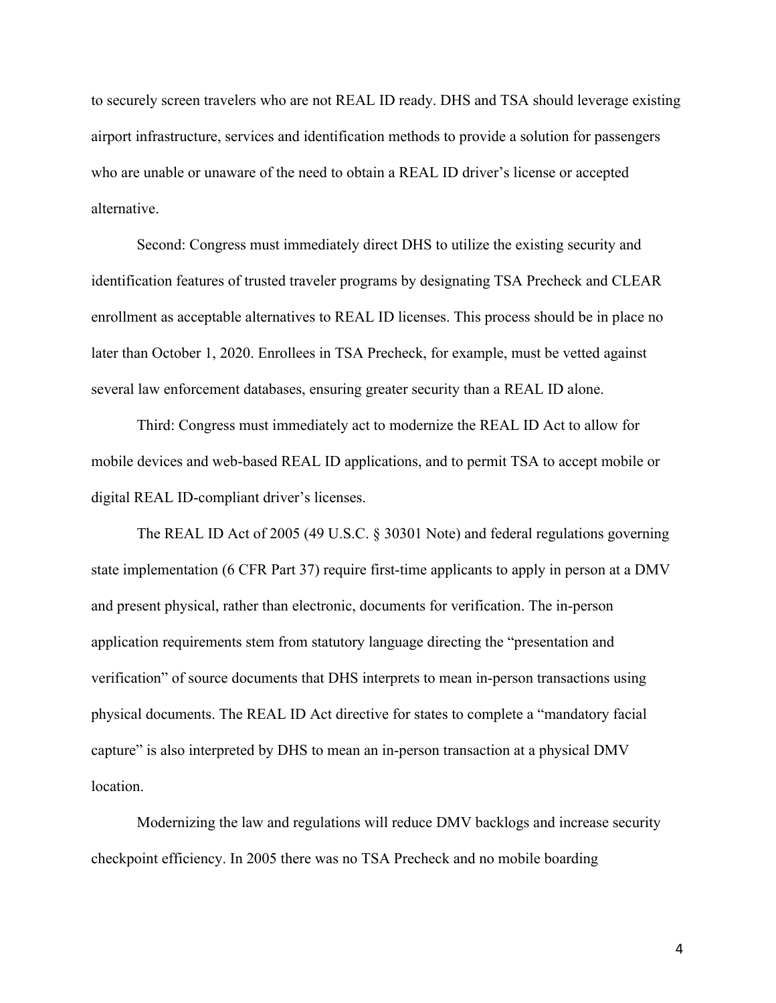to securely screen travelers who are not REAL ID ready. DHS and TSA should leverage existing airport infrastructure, services and identification methods to provide a solution for passengers who are unable or unaware of the need to obtain a REAL ID driver's license or accepted alternative.

Second: Congress must immediately direct DHS to utilize the existing security and identification features of trusted traveler programs by designating TSA Precheck and CLEAR enrollment as acceptable alternatives to REAL ID licenses. This process should be in place no later than October 1, 2020. Enrollees in TSA Precheck, for example, must be vetted against several law enforcement databases, ensuring greater security than a REAL ID alone.

Third: Congress must immediately act to modernize the REAL ID Act to allow for mobile devices and web-based REAL ID applications, and to permit TSA to accept mobile or digital REAL ID-compliant driver's licenses.

The REAL ID Act of 2005 (49 U.S.C. § 30301 Note) and federal regulations governing state implementation (6 CFR Part 37) require first-time applicants to apply in person at a DMV and present physical, rather than electronic, documents for verification. The in-person application requirements stem from statutory language directing the "presentation and verification" of source documents that DHS interprets to mean in-person transactions using physical documents. The REAL ID Act directive for states to complete a "mandatory facial capture" is also interpreted by DHS to mean an in-person transaction at a physical DMV location.

Modernizing the law and regulations will reduce DMV backlogs and increase security checkpoint efficiency. In 2005 there was no TSA Precheck and no mobile boarding

4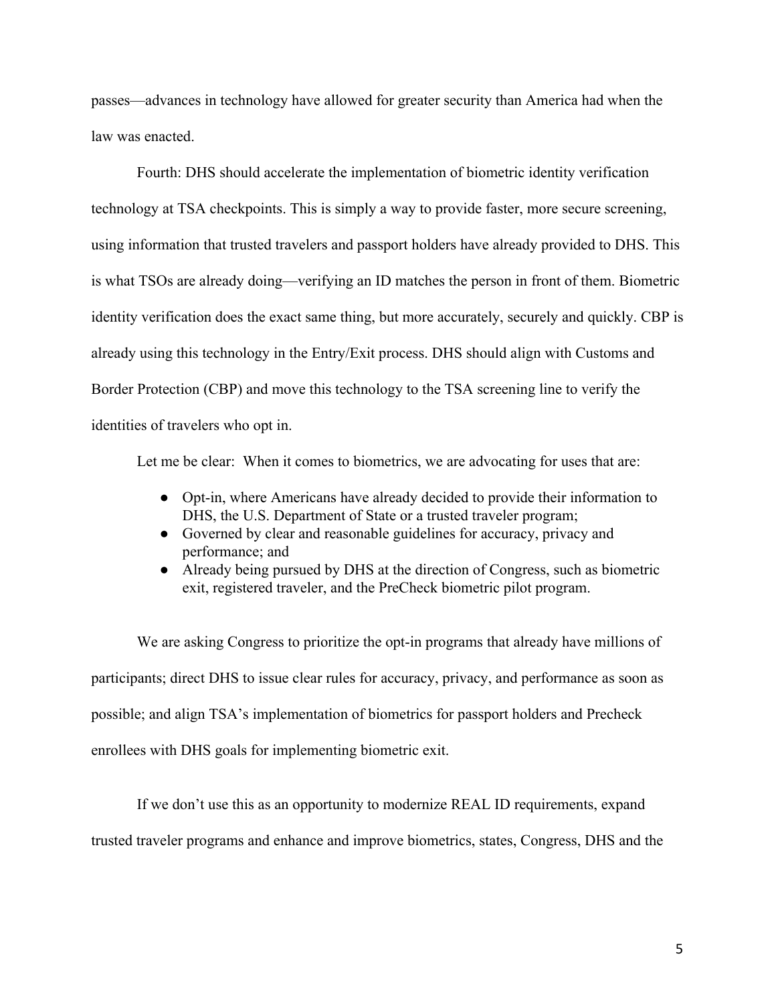passes—advances in technology have allowed for greater security than America had when the law was enacted.

Fourth: DHS should accelerate the implementation of biometric identity verification technology at TSA checkpoints. This is simply a way to provide faster, more secure screening, using information that trusted travelers and passport holders have already provided to DHS. This is what TSOs are already doing—verifying an ID matches the person in front of them. Biometric identity verification does the exact same thing, but more accurately, securely and quickly. CBP is already using this technology in the Entry/Exit process. DHS should align with Customs and Border Protection (CBP) and move this technology to the TSA screening line to verify the identities of travelers who opt in.

Let me be clear: When it comes to biometrics, we are advocating for uses that are:

- Opt-in, where Americans have already decided to provide their information to DHS, the U.S. Department of State or a trusted traveler program;
- Governed by clear and reasonable guidelines for accuracy, privacy and performance; and
- Already being pursued by DHS at the direction of Congress, such as biometric exit, registered traveler, and the PreCheck biometric pilot program.

We are asking Congress to prioritize the opt-in programs that already have millions of participants; direct DHS to issue clear rules for accuracy, privacy, and performance as soon as possible; and align TSA's implementation of biometrics for passport holders and Precheck enrollees with DHS goals for implementing biometric exit.

If we don't use this as an opportunity to modernize REAL ID requirements, expand trusted traveler programs and enhance and improve biometrics, states, Congress, DHS and the